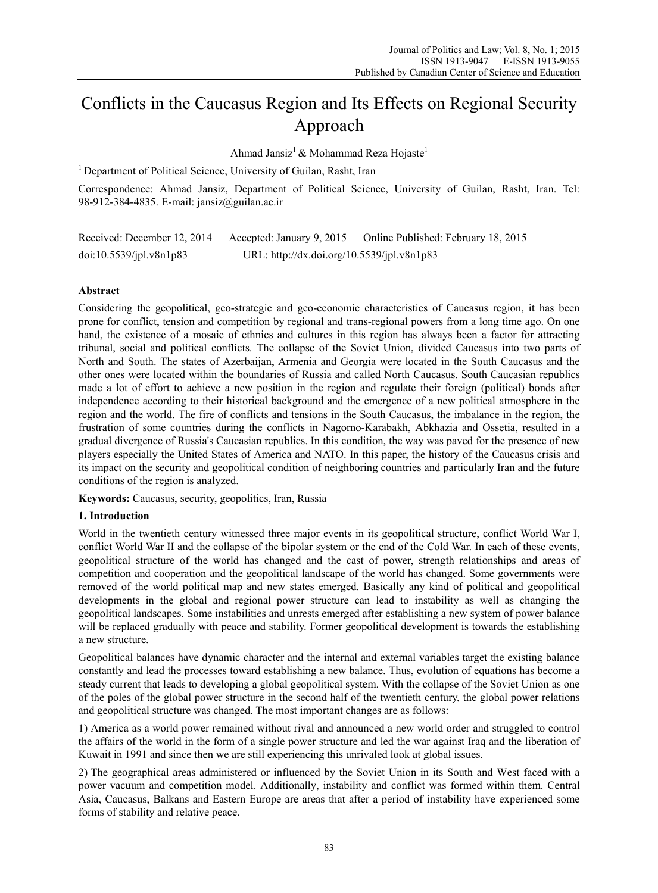# Conflicts in the Caucasus Region and Its Effects on Regional Security Approach

Ahmad Jansiz<sup>1</sup> & Mohammad Reza Hojaste<sup>1</sup>

<sup>1</sup> Department of Political Science, University of Guilan, Rasht, Iran

Correspondence: Ahmad Jansiz, Department of Political Science, University of Guilan, Rasht, Iran. Tel: 98-912-384-4835. E-mail: jansiz@guilan.ac.ir

| Received: December 12, 2014 | Accepted: January 9, 2015                  | Online Published: February 18, 2015 |
|-----------------------------|--------------------------------------------|-------------------------------------|
| doi:10.5539/jpl.v8n1p83     | URL: http://dx.doi.org/10.5539/jpl.v8n1p83 |                                     |

# **Abstract**

Considering the geopolitical, geo-strategic and geo-economic characteristics of Caucasus region, it has been prone for conflict, tension and competition by regional and trans-regional powers from a long time ago. On one hand, the existence of a mosaic of ethnics and cultures in this region has always been a factor for attracting tribunal, social and political conflicts. The collapse of the Soviet Union, divided Caucasus into two parts of North and South. The states of Azerbaijan, Armenia and Georgia were located in the South Caucasus and the other ones were located within the boundaries of Russia and called North Caucasus. South Caucasian republics made a lot of effort to achieve a new position in the region and regulate their foreign (political) bonds after independence according to their historical background and the emergence of a new political atmosphere in the region and the world. The fire of conflicts and tensions in the South Caucasus, the imbalance in the region, the frustration of some countries during the conflicts in Nagorno-Karabakh, Abkhazia and Ossetia, resulted in a gradual divergence of Russia's Caucasian republics. In this condition, the way was paved for the presence of new players especially the United States of America and NATO. In this paper, the history of the Caucasus crisis and its impact on the security and geopolitical condition of neighboring countries and particularly Iran and the future conditions of the region is analyzed.

**Keywords:** Caucasus, security, geopolitics, Iran, Russia

# **1. Introduction**

World in the twentieth century witnessed three major events in its geopolitical structure, conflict World War I, conflict World War II and the collapse of the bipolar system or the end of the Cold War. In each of these events, geopolitical structure of the world has changed and the cast of power, strength relationships and areas of competition and cooperation and the geopolitical landscape of the world has changed. Some governments were removed of the world political map and new states emerged. Basically any kind of political and geopolitical developments in the global and regional power structure can lead to instability as well as changing the geopolitical landscapes. Some instabilities and unrests emerged after establishing a new system of power balance will be replaced gradually with peace and stability. Former geopolitical development is towards the establishing a new structure.

Geopolitical balances have dynamic character and the internal and external variables target the existing balance constantly and lead the processes toward establishing a new balance. Thus, evolution of equations has become a steady current that leads to developing a global geopolitical system. With the collapse of the Soviet Union as one of the poles of the global power structure in the second half of the twentieth century, the global power relations and geopolitical structure was changed. The most important changes are as follows:

1) America as a world power remained without rival and announced a new world order and struggled to control the affairs of the world in the form of a single power structure and led the war against Iraq and the liberation of Kuwait in 1991 and since then we are still experiencing this unrivaled look at global issues.

2) The geographical areas administered or influenced by the Soviet Union in its South and West faced with a power vacuum and competition model. Additionally, instability and conflict was formed within them. Central Asia, Caucasus, Balkans and Eastern Europe are areas that after a period of instability have experienced some forms of stability and relative peace.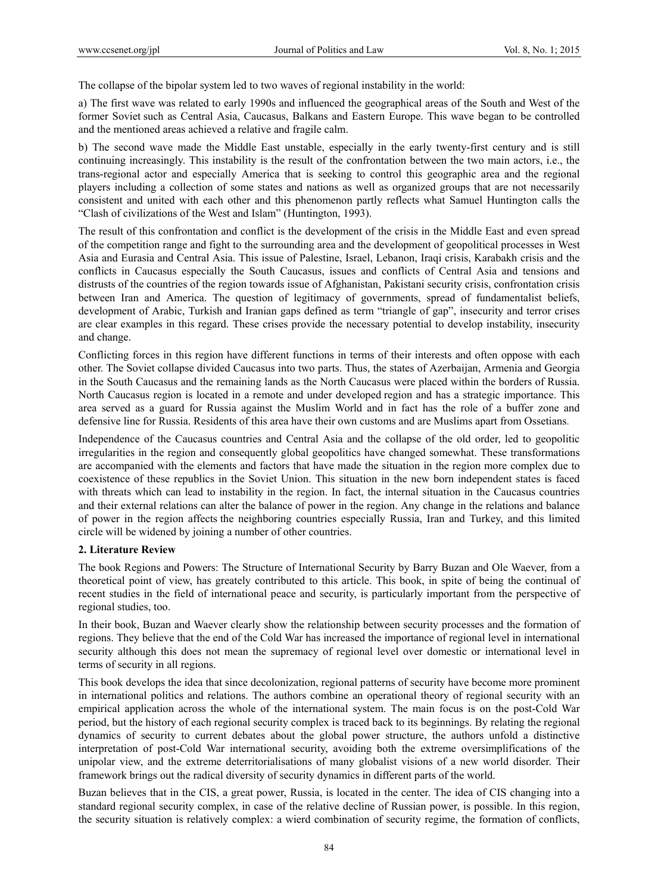The collapse of the bipolar system led to two waves of regional instability in the world:

a) The first wave was related to early 1990s and influenced the geographical areas of the South and West of the former Soviet such as Central Asia, Caucasus, Balkans and Eastern Europe. This wave began to be controlled and the mentioned areas achieved a relative and fragile calm.

b) The second wave made the Middle East unstable, especially in the early twenty-first century and is still continuing increasingly. This instability is the result of the confrontation between the two main actors, i.e., the trans-regional actor and especially America that is seeking to control this geographic area and the regional players including a collection of some states and nations as well as organized groups that are not necessarily consistent and united with each other and this phenomenon partly reflects what Samuel Huntington calls the "Clash of civilizations of the West and Islam" (Huntington, 1993).

The result of this confrontation and conflict is the development of the crisis in the Middle East and even spread of the competition range and fight to the surrounding area and the development of geopolitical processes in West Asia and Eurasia and Central Asia. This issue of Palestine, Israel, Lebanon, Iraqi crisis, Karabakh crisis and the conflicts in Caucasus especially the South Caucasus, issues and conflicts of Central Asia and tensions and distrusts of the countries of the region towards issue of Afghanistan, Pakistani security crisis, confrontation crisis between Iran and America. The question of legitimacy of governments, spread of fundamentalist beliefs, development of Arabic, Turkish and Iranian gaps defined as term "triangle of gap", insecurity and terror crises are clear examples in this regard. These crises provide the necessary potential to develop instability, insecurity and change.

Conflicting forces in this region have different functions in terms of their interests and often oppose with each other. The Soviet collapse divided Caucasus into two parts. Thus, the states of Azerbaijan, Armenia and Georgia in the South Caucasus and the remaining lands as the North Caucasus were placed within the borders of Russia. North Caucasus region is located in a remote and under developed region and has a strategic importance. This area served as a guard for Russia against the Muslim World and in fact has the role of a buffer zone and defensive line for Russia. Residents of this area have their own customs and are Muslims apart from Ossetians.

Independence of the Caucasus countries and Central Asia and the collapse of the old order, led to geopolitic irregularities in the region and consequently global geopolitics have changed somewhat. These transformations are accompanied with the elements and factors that have made the situation in the region more complex due to coexistence of these republics in the Soviet Union. This situation in the new born independent states is faced with threats which can lead to instability in the region. In fact, the internal situation in the Caucasus countries and their external relations can alter the balance of power in the region. Any change in the relations and balance of power in the region affects the neighboring countries especially Russia, Iran and Turkey, and this limited circle will be widened by joining a number of other countries.

# **2. Literature Review**

The book Regions and Powers: The Structure of International Security by Barry Buzan and Ole Waever, from a theoretical point of view, has greately contributed to this article. This book, in spite of being the continual of recent studies in the field of international peace and security, is particularly important from the perspective of regional studies, too.

In their book, Buzan and Waever clearly show the relationship between security processes and the formation of regions. They believe that the end of the Cold War has increased the importance of regional level in international security although this does not mean the supremacy of regional level over domestic or international level in terms of security in all regions.

This book develops the idea that since decolonization, regional patterns of security have become more prominent in international politics and relations. The authors combine an operational theory of regional security with an empirical application across the whole of the international system. The main focus is on the post-Cold War period, but the history of each regional security complex is traced back to its beginnings. By relating the regional dynamics of security to current debates about the global power structure, the authors unfold a distinctive interpretation of post-Cold War international security, avoiding both the extreme oversimplifications of the unipolar view, and the extreme deterritorialisations of many globalist visions of a new world disorder. Their framework brings out the radical diversity of security dynamics in different parts of the world.

Buzan believes that in the CIS, a great power, Russia, is located in the center. The idea of CIS changing into a standard regional security complex, in case of the relative decline of Russian power, is possible. In this region, the security situation is relatively complex: a wierd combination of security regime, the formation of conflicts,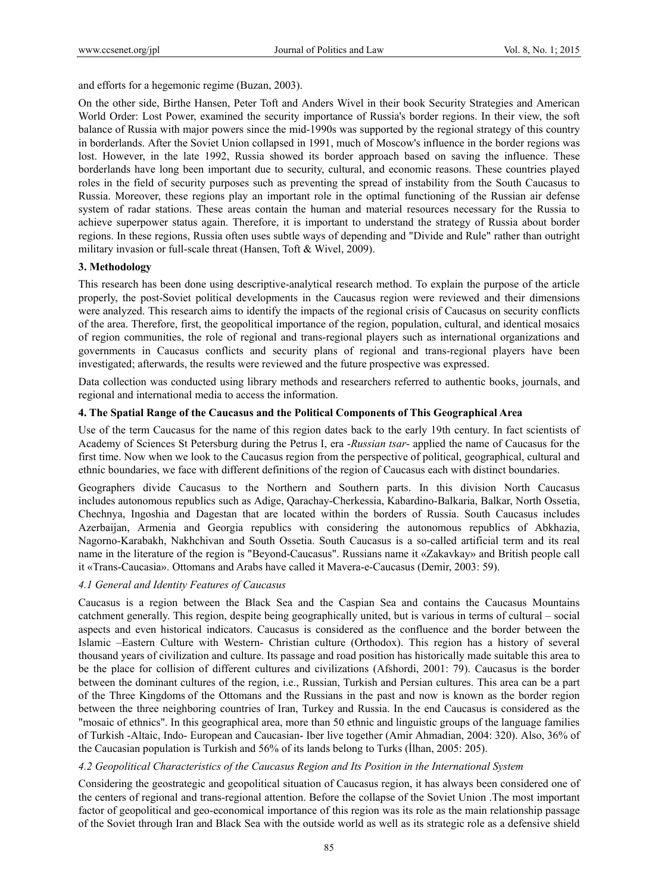and efforts for a hegemonic regime (Buzan, 2003).

On the other side, Birthe Hansen, Peter Toft and Anders Wivel in their book Security Strategies and American World Order: Lost Power, examined the security importance of Russia's border regions. In their view, the soft balance of Russia with major powers since the mid-1990s was supported by the regional strategy of this country in borderlands. After the Soviet Union collapsed in 1991, much of Moscow's influence in the border regions was lost. However, in the late 1992, Russia showed its border approach based on saving the influence. These borderlands have long been important due to security, cultural, and economic reasons. These countries played roles in the field of security purposes such as preventing the spread of instability from the South Caucasus to Russia. Moreover, these regions play an important role in the optimal functioning of the Russian air defense system of radar stations. These areas contain the human and material resources necessary for the Russia to achieve superpower status again. Therefore, it is important to understand the strategy of Russia about border regions. In these regions, Russia often uses subtle ways of depending and "Divide and Rule" rather than outright military invasion or full-scale threat (Hansen, Toft & Wivel, 2009).

#### **3. Methodology**

This research has been done using descriptive-analytical research method. To explain the purpose of the article properly, the post-Soviet political developments in the Caucasus region were reviewed and their dimensions were analyzed. This research aims to identify the impacts of the regional crisis of Caucasus on security conflicts of the area. Therefore, first, the geopolitical importance of the region, population, cultural, and identical mosaics of region communities, the role of regional and trans-regional players such as international organizations and governments in Caucasus conflicts and security plans of regional and trans-regional players have been investigated; afterwards, the results were reviewed and the future prospective was expressed.

Data collection was conducted using library methods and researchers referred to authentic books, journals, and regional and international media to access the information.

# **4. The Spatial Range of the Caucasus and the Political Components of This Geographical Area**

Use of the term Caucasus for the name of this region dates back to the early 19th century. In fact scientists of Academy of Sciences St Petersburg during the Petrus I, era -*Russian tsar*- applied the name of Caucasus for the first time. Now when we look to the Caucasus region from the perspective of political, geographical, cultural and ethnic boundaries, we face with different definitions of the region of Caucasus each with distinct boundaries.

Geographers divide Caucasus to the Northern and Southern parts. In this division North Caucasus includes autonomous republics such as Adige, Qarachay-Cherkessia, Kabardino-Balkaria, Balkar, North Ossetia, Chechnya, Ingoshia and Dagestan that are located within the borders of Russia. South Caucasus includes Azerbaijan, Armenia and Georgia republics with considering the autonomous republics of Abkhazia, Nagorno-Karabakh, Nakhchivan and South Ossetia. South Caucasus is a so-called artificial term and its real name in the literature of the region is "Beyond-Caucasus". Russians name it «Zakavkay» and British people call it «Trans-Caucasia». Ottomans and Arabs have called it Mavera-e-Caucasus (Demir, 2003: 59).

# *4.1 General and Identity Features of Caucasus*

Caucasus is a region between the Black Sea and the Caspian Sea and contains the Caucasus Mountains catchment generally. This region, despite being geographically united, but is various in terms of cultural – social aspects and even historical indicators. Caucasus is considered as the confluence and the border between the Islamic –Eastern Culture with Western- Christian culture (Orthodox). This region has a history of several thousand years of civilization and culture. Its passage and road position has historically made suitable this area to be the place for collision of different cultures and civilizations (Afshordi, 2001: 79). Caucasus is the border between the dominant cultures of the region, i.e., Russian, Turkish and Persian cultures. This area can be a part of the Three Kingdoms of the Ottomans and the Russians in the past and now is known as the border region between the three neighboring countries of Iran, Turkey and Russia. In the end Caucasus is considered as the "mosaic of ethnics". In this geographical area, more than 50 ethnic and linguistic groups of the language families of Turkish -Altaic, Indo- European and Caucasian- Iber live together (Amir Ahmadian, 2004: 320). Also, 36% of the Caucasian population is Turkish and 56% of its lands belong to Turks (İlhan, 2005: 205).

# *4.2 Geopolitical Characteristics of the Caucasus Region and Its Position in the International System*

Considering the geostrategic and geopolitical situation of Caucasus region, it has always been considered one of the centers of regional and trans-regional attention. Before the collapse of the Soviet Union .The most important factor of geopolitical and geo-economical importance of this region was its role as the main relationship passage of the Soviet through Iran and Black Sea with the outside world as well as its strategic role as a defensive shield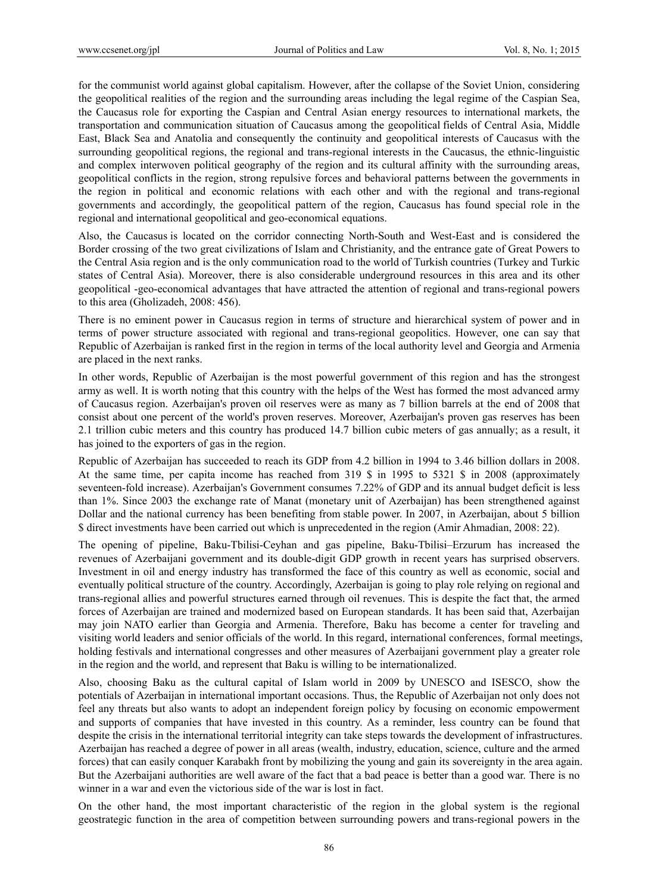for the communist world against global capitalism. However, after the collapse of the Soviet Union, considering the geopolitical realities of the region and the surrounding areas including the legal regime of the Caspian Sea, the Caucasus role for exporting the Caspian and Central Asian energy resources to international markets, the transportation and communication situation of Caucasus among the geopolitical fields of Central Asia, Middle East, Black Sea and Anatolia and consequently the continuity and geopolitical interests of Caucasus with the surrounding geopolitical regions, the regional and trans-regional interests in the Caucasus, the ethnic-linguistic and complex interwoven political geography of the region and its cultural affinity with the surrounding areas, geopolitical conflicts in the region, strong repulsive forces and behavioral patterns between the governments in the region in political and economic relations with each other and with the regional and trans-regional governments and accordingly, the geopolitical pattern of the region, Caucasus has found special role in the regional and international geopolitical and geo-economical equations.

Also, the Caucasus is located on the corridor connecting North-South and West-East and is considered the Border crossing of the two great civilizations of Islam and Christianity, and the entrance gate of Great Powers to the Central Asia region and is the only communication road to the world of Turkish countries (Turkey and Turkic states of Central Asia). Moreover, there is also considerable underground resources in this area and its other geopolitical -geo-economical advantages that have attracted the attention of regional and trans-regional powers to this area (Gholizadeh, 2008: 456).

There is no eminent power in Caucasus region in terms of structure and hierarchical system of power and in terms of power structure associated with regional and trans-regional geopolitics. However, one can say that Republic of Azerbaijan is ranked first in the region in terms of the local authority level and Georgia and Armenia are placed in the next ranks.

In other words, Republic of Azerbaijan is the most powerful government of this region and has the strongest army as well. It is worth noting that this country with the helps of the West has formed the most advanced army of Caucasus region. Azerbaijan's proven oil reserves were as many as 7 billion barrels at the end of 2008 that consist about one percent of the world's proven reserves. Moreover, Azerbaijan's proven gas reserves has been 2.1 trillion cubic meters and this country has produced 14.7 billion cubic meters of gas annually; as a result, it has joined to the exporters of gas in the region.

Republic of Azerbaijan has succeeded to reach its GDP from 4.2 billion in 1994 to 3.46 billion dollars in 2008. At the same time, per capita income has reached from 319 \$ in 1995 to 5321 \$ in 2008 (approximately seventeen-fold increase). Azerbaijan's Government consumes 7.22% of GDP and its annual budget deficit is less than 1%. Since 2003 the exchange rate of Manat (monetary unit of Azerbaijan) has been strengthened against Dollar and the national currency has been benefiting from stable power. In 2007, in Azerbaijan, about 5 billion \$ direct investments have been carried out which is unprecedented in the region (Amir Ahmadian, 2008: 22).

The opening of pipeline, Baku-Tbilisi-Ceyhan and gas pipeline, Baku-Tbilisi–Erzurum has increased the revenues of Azerbaijani government and its double-digit GDP growth in recent years has surprised observers. Investment in oil and energy industry has transformed the face of this country as well as economic, social and eventually political structure of the country. Accordingly, Azerbaijan is going to play role relying on regional and trans-regional allies and powerful structures earned through oil revenues. This is despite the fact that, the armed forces of Azerbaijan are trained and modernized based on European standards. It has been said that, Azerbaijan may join NATO earlier than Georgia and Armenia. Therefore, Baku has become a center for traveling and visiting world leaders and senior officials of the world. In this regard, international conferences, formal meetings, holding festivals and international congresses and other measures of Azerbaijani government play a greater role in the region and the world, and represent that Baku is willing to be internationalized.

Also, choosing Baku as the cultural capital of Islam world in 2009 by UNESCO and ISESCO, show the potentials of Azerbaijan in international important occasions. Thus, the Republic of Azerbaijan not only does not feel any threats but also wants to adopt an independent foreign policy by focusing on economic empowerment and supports of companies that have invested in this country. As a reminder, less country can be found that despite the crisis in the international territorial integrity can take steps towards the development of infrastructures. Azerbaijan has reached a degree of power in all areas (wealth, industry, education, science, culture and the armed forces) that can easily conquer Karabakh front by mobilizing the young and gain its sovereignty in the area again. But the Azerbaijani authorities are well aware of the fact that a bad peace is better than a good war. There is no winner in a war and even the victorious side of the war is lost in fact.

On the other hand, the most important characteristic of the region in the global system is the regional geostrategic function in the area of competition between surrounding powers and trans-regional powers in the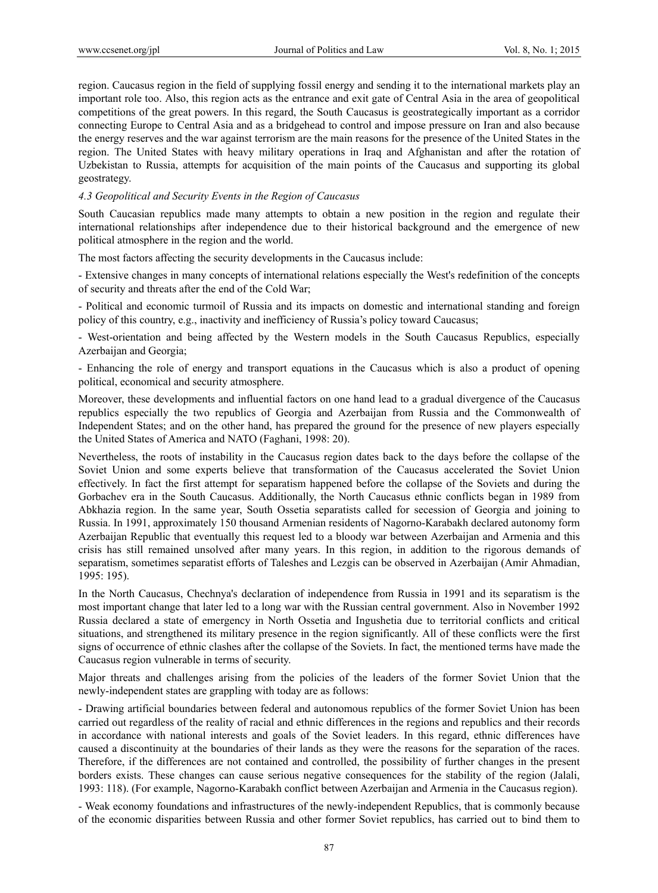region. Caucasus region in the field of supplying fossil energy and sending it to the international markets play an important role too. Also, this region acts as the entrance and exit gate of Central Asia in the area of geopolitical competitions of the great powers. In this regard, the South Caucasus is geostrategically important as a corridor connecting Europe to Central Asia and as a bridgehead to control and impose pressure on Iran and also because the energy reserves and the war against terrorism are the main reasons for the presence of the United States in the region. The United States with heavy military operations in Iraq and Afghanistan and after the rotation of Uzbekistan to Russia, attempts for acquisition of the main points of the Caucasus and supporting its global geostrategy.

#### *4.3 Geopolitical and Security Events in the Region of Caucasus*

South Caucasian republics made many attempts to obtain a new position in the region and regulate their international relationships after independence due to their historical background and the emergence of new political atmosphere in the region and the world.

The most factors affecting the security developments in the Caucasus include:

- Extensive changes in many concepts of international relations especially the West's redefinition of the concepts of security and threats after the end of the Cold War;

- Political and economic turmoil of Russia and its impacts on domestic and international standing and foreign policy of this country, e.g., inactivity and inefficiency of Russia's policy toward Caucasus;

- West-orientation and being affected by the Western models in the South Caucasus Republics, especially Azerbaijan and Georgia;

- Enhancing the role of energy and transport equations in the Caucasus which is also a product of opening political, economical and security atmosphere.

Moreover, these developments and influential factors on one hand lead to a gradual divergence of the Caucasus republics especially the two republics of Georgia and Azerbaijan from Russia and the Commonwealth of Independent States; and on the other hand, has prepared the ground for the presence of new players especially the United States of America and NATO (Faghani, 1998: 20).

Nevertheless, the roots of instability in the Caucasus region dates back to the days before the collapse of the Soviet Union and some experts believe that transformation of the Caucasus accelerated the Soviet Union effectively. In fact the first attempt for separatism happened before the collapse of the Soviets and during the Gorbachev era in the South Caucasus. Additionally, the North Caucasus ethnic conflicts began in 1989 from Abkhazia region. In the same year, South Ossetia separatists called for secession of Georgia and joining to Russia. In 1991, approximately 150 thousand Armenian residents of Nagorno-Karabakh declared autonomy form Azerbaijan Republic that eventually this request led to a bloody war between Azerbaijan and Armenia and this crisis has still remained unsolved after many years. In this region, in addition to the rigorous demands of separatism, sometimes separatist efforts of Taleshes and Lezgis can be observed in Azerbaijan (Amir Ahmadian, 1995: 195).

In the North Caucasus, Chechnya's declaration of independence from Russia in 1991 and its separatism is the most important change that later led to a long war with the Russian central government. Also in November 1992 Russia declared a state of emergency in North Ossetia and Ingushetia due to territorial conflicts and critical situations, and strengthened its military presence in the region significantly. All of these conflicts were the first signs of occurrence of ethnic clashes after the collapse of the Soviets. In fact, the mentioned terms have made the Caucasus region vulnerable in terms of security.

Major threats and challenges arising from the policies of the leaders of the former Soviet Union that the newly-independent states are grappling with today are as follows:

- Drawing artificial boundaries between federal and autonomous republics of the former Soviet Union has been carried out regardless of the reality of racial and ethnic differences in the regions and republics and their records in accordance with national interests and goals of the Soviet leaders. In this regard, ethnic differences have caused a discontinuity at the boundaries of their lands as they were the reasons for the separation of the races. Therefore, if the differences are not contained and controlled, the possibility of further changes in the present borders exists. These changes can cause serious negative consequences for the stability of the region (Jalali, 1993: 118). (For example, Nagorno-Karabakh conflict between Azerbaijan and Armenia in the Caucasus region).

- Weak economy foundations and infrastructures of the newly-independent Republics, that is commonly because of the economic disparities between Russia and other former Soviet republics, has carried out to bind them to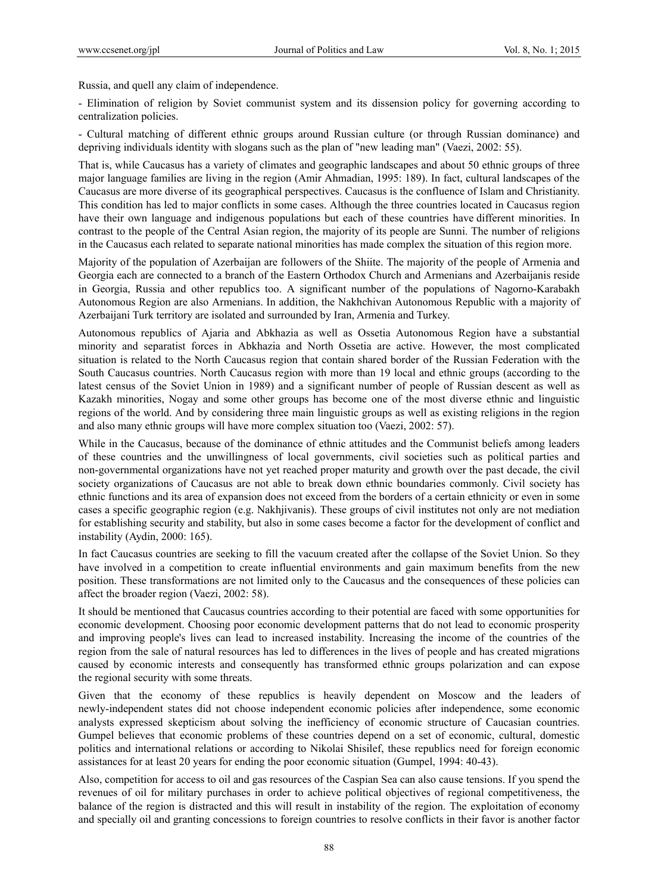Russia, and quell any claim of independence.

- Elimination of religion by Soviet communist system and its dissension policy for governing according to centralization policies.

- Cultural matching of different ethnic groups around Russian culture (or through Russian dominance) and depriving individuals identity with slogans such as the plan of "new leading man" (Vaezi, 2002: 55).

That is, while Caucasus has a variety of climates and geographic landscapes and about 50 ethnic groups of three major language families are living in the region (Amir Ahmadian, 1995: 189). In fact, cultural landscapes of the Caucasus are more diverse of its geographical perspectives. Caucasus is the confluence of Islam and Christianity. This condition has led to major conflicts in some cases. Although the three countries located in Caucasus region have their own language and indigenous populations but each of these countries have different minorities. In contrast to the people of the Central Asian region, the majority of its people are Sunni. The number of religions in the Caucasus each related to separate national minorities has made complex the situation of this region more.

Majority of the population of Azerbaijan are followers of the Shiite. The majority of the people of Armenia and Georgia each are connected to a branch of the Eastern Orthodox Church and Armenians and Azerbaijanis reside in Georgia, Russia and other republics too. A significant number of the populations of Nagorno-Karabakh Autonomous Region are also Armenians. In addition, the Nakhchivan Autonomous Republic with a majority of Azerbaijani Turk territory are isolated and surrounded by Iran, Armenia and Turkey.

Autonomous republics of Ajaria and Abkhazia as well as Ossetia Autonomous Region have a substantial minority and separatist forces in Abkhazia and North Ossetia are active. However, the most complicated situation is related to the North Caucasus region that contain shared border of the Russian Federation with the South Caucasus countries. North Caucasus region with more than 19 local and ethnic groups (according to the latest census of the Soviet Union in 1989) and a significant number of people of Russian descent as well as Kazakh minorities, Nogay and some other groups has become one of the most diverse ethnic and linguistic regions of the world. And by considering three main linguistic groups as well as existing religions in the region and also many ethnic groups will have more complex situation too (Vaezi, 2002: 57).

While in the Caucasus, because of the dominance of ethnic attitudes and the Communist beliefs among leaders of these countries and the unwillingness of local governments, civil societies such as political parties and non-governmental organizations have not yet reached proper maturity and growth over the past decade, the civil society organizations of Caucasus are not able to break down ethnic boundaries commonly. Civil society has ethnic functions and its area of expansion does not exceed from the borders of a certain ethnicity or even in some cases a specific geographic region (e.g. Nakhjivanis). These groups of civil institutes not only are not mediation for establishing security and stability, but also in some cases become a factor for the development of conflict and instability (Aydin, 2000: 165).

In fact Caucasus countries are seeking to fill the vacuum created after the collapse of the Soviet Union. So they have involved in a competition to create influential environments and gain maximum benefits from the new position. These transformations are not limited only to the Caucasus and the consequences of these policies can affect the broader region (Vaezi, 2002: 58).

It should be mentioned that Caucasus countries according to their potential are faced with some opportunities for economic development. Choosing poor economic development patterns that do not lead to economic prosperity and improving people's lives can lead to increased instability. Increasing the income of the countries of the region from the sale of natural resources has led to differences in the lives of people and has created migrations caused by economic interests and consequently has transformed ethnic groups polarization and can expose the regional security with some threats.

Given that the economy of these republics is heavily dependent on Moscow and the leaders of newly-independent states did not choose independent economic policies after independence, some economic analysts expressed skepticism about solving the inefficiency of economic structure of Caucasian countries. Gumpel believes that economic problems of these countries depend on a set of economic, cultural, domestic politics and international relations or according to Nikolai Shisilef, these republics need for foreign economic assistances for at least 20 years for ending the poor economic situation (Gumpel, 1994: 40-43).

Also, competition for access to oil and gas resources of the Caspian Sea can also cause tensions. If you spend the revenues of oil for military purchases in order to achieve political objectives of regional competitiveness, the balance of the region is distracted and this will result in instability of the region. The exploitation of economy and specially oil and granting concessions to foreign countries to resolve conflicts in their favor is another factor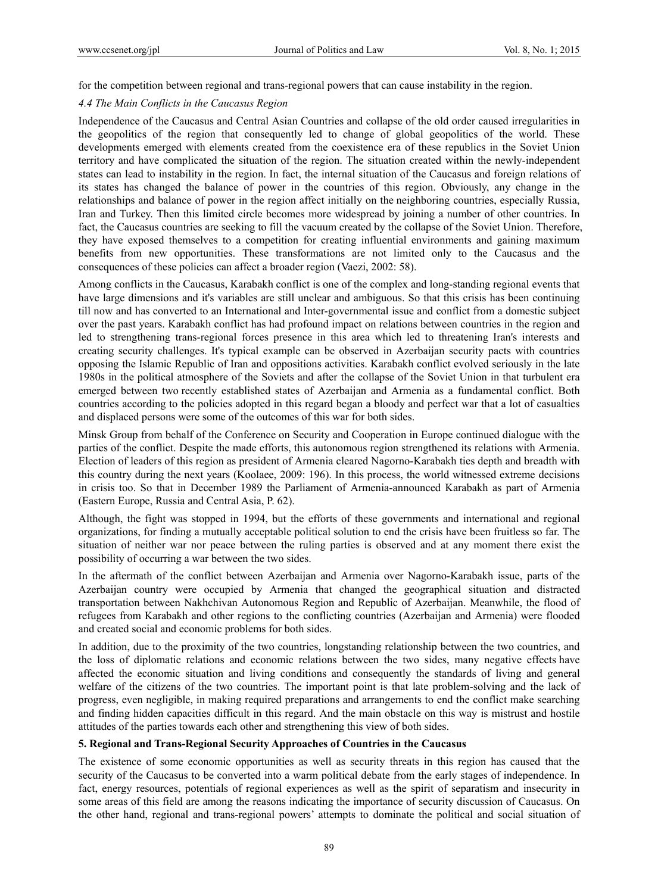for the competition between regional and trans-regional powers that can cause instability in the region.

#### *4.4 The Main Conflicts in the Caucasus Region*

Independence of the Caucasus and Central Asian Countries and collapse of the old order caused irregularities in the geopolitics of the region that consequently led to change of global geopolitics of the world. These developments emerged with elements created from the coexistence era of these republics in the Soviet Union territory and have complicated the situation of the region. The situation created within the newly-independent states can lead to instability in the region. In fact, the internal situation of the Caucasus and foreign relations of its states has changed the balance of power in the countries of this region. Obviously, any change in the relationships and balance of power in the region affect initially on the neighboring countries, especially Russia, Iran and Turkey. Then this limited circle becomes more widespread by joining a number of other countries. In fact, the Caucasus countries are seeking to fill the vacuum created by the collapse of the Soviet Union. Therefore, they have exposed themselves to a competition for creating influential environments and gaining maximum benefits from new opportunities. These transformations are not limited only to the Caucasus and the consequences of these policies can affect a broader region (Vaezi, 2002: 58).

Among conflicts in the Caucasus, Karabakh conflict is one of the complex and long-standing regional events that have large dimensions and it's variables are still unclear and ambiguous. So that this crisis has been continuing till now and has converted to an International and Inter-governmental issue and conflict from a domestic subject over the past years. Karabakh conflict has had profound impact on relations between countries in the region and led to strengthening trans-regional forces presence in this area which led to threatening Iran's interests and creating security challenges. It's typical example can be observed in Azerbaijan security pacts with countries opposing the Islamic Republic of Iran and oppositions activities. Karabakh conflict evolved seriously in the late 1980s in the political atmosphere of the Soviets and after the collapse of the Soviet Union in that turbulent era emerged between two recently established states of Azerbaijan and Armenia as a fundamental conflict. Both countries according to the policies adopted in this regard began a bloody and perfect war that a lot of casualties and displaced persons were some of the outcomes of this war for both sides.

Minsk Group from behalf of the Conference on Security and Cooperation in Europe continued dialogue with the parties of the conflict. Despite the made efforts, this autonomous region strengthened its relations with Armenia. Election of leaders of this region as president of Armenia cleared Nagorno-Karabakh ties depth and breadth with this country during the next years (Koolaee, 2009: 196). In this process, the world witnessed extreme decisions in crisis too. So that in December 1989 the Parliament of Armenia-announced Karabakh as part of Armenia (Eastern Europe, Russia and Central Asia, P. 62).

Although, the fight was stopped in 1994, but the efforts of these governments and international and regional organizations, for finding a mutually acceptable political solution to end the crisis have been fruitless so far. The situation of neither war nor peace between the ruling parties is observed and at any moment there exist the possibility of occurring a war between the two sides.

In the aftermath of the conflict between Azerbaijan and Armenia over Nagorno-Karabakh issue, parts of the Azerbaijan country were occupied by Armenia that changed the geographical situation and distracted transportation between Nakhchivan Autonomous Region and Republic of Azerbaijan. Meanwhile, the flood of refugees from Karabakh and other regions to the conflicting countries (Azerbaijan and Armenia) were flooded and created social and economic problems for both sides.

In addition, due to the proximity of the two countries, longstanding relationship between the two countries, and the loss of diplomatic relations and economic relations between the two sides, many negative effects have affected the economic situation and living conditions and consequently the standards of living and general welfare of the citizens of the two countries. The important point is that late problem-solving and the lack of progress, even negligible, in making required preparations and arrangements to end the conflict make searching and finding hidden capacities difficult in this regard. And the main obstacle on this way is mistrust and hostile attitudes of the parties towards each other and strengthening this view of both sides.

# **5. Regional and Trans-Regional Security Approaches of Countries in the Caucasus**

The existence of some economic opportunities as well as security threats in this region has caused that the security of the Caucasus to be converted into a warm political debate from the early stages of independence. In fact, energy resources, potentials of regional experiences as well as the spirit of separatism and insecurity in some areas of this field are among the reasons indicating the importance of security discussion of Caucasus. On the other hand, regional and trans-regional powers' attempts to dominate the political and social situation of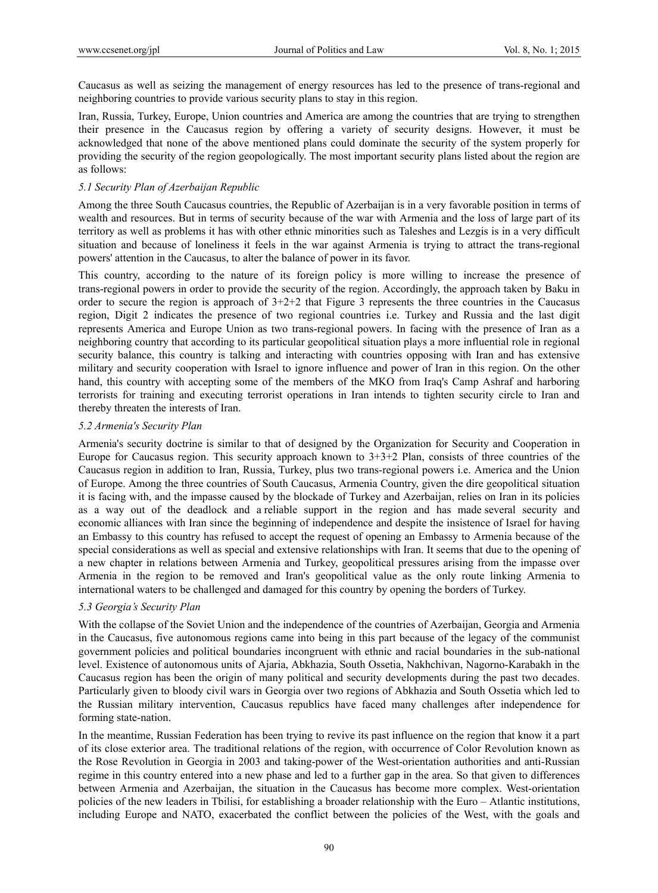Caucasus as well as seizing the management of energy resources has led to the presence of trans-regional and neighboring countries to provide various security plans to stay in this region.

Iran, Russia, Turkey, Europe, Union countries and America are among the countries that are trying to strengthen their presence in the Caucasus region by offering a variety of security designs. However, it must be acknowledged that none of the above mentioned plans could dominate the security of the system properly for providing the security of the region geopologically. The most important security plans listed about the region are as follows:

#### *5.1 Security Plan of Azerbaijan Republic*

Among the three South Caucasus countries, the Republic of Azerbaijan is in a very favorable position in terms of wealth and resources. But in terms of security because of the war with Armenia and the loss of large part of its territory as well as problems it has with other ethnic minorities such as Taleshes and Lezgis is in a very difficult situation and because of loneliness it feels in the war against Armenia is trying to attract the trans-regional powers' attention in the Caucasus, to alter the balance of power in its favor.

This country, according to the nature of its foreign policy is more willing to increase the presence of trans-regional powers in order to provide the security of the region. Accordingly, the approach taken by Baku in order to secure the region is approach of  $3+2+2$  that Figure 3 represents the three countries in the Caucasus region, Digit 2 indicates the presence of two regional countries i.e. Turkey and Russia and the last digit represents America and Europe Union as two trans-regional powers. In facing with the presence of Iran as a neighboring country that according to its particular geopolitical situation plays a more influential role in regional security balance, this country is talking and interacting with countries opposing with Iran and has extensive military and security cooperation with Israel to ignore influence and power of Iran in this region. On the other hand, this country with accepting some of the members of the MKO from Iraq's Camp Ashraf and harboring terrorists for training and executing terrorist operations in Iran intends to tighten security circle to Iran and thereby threaten the interests of Iran.

## *5.2 Armenia's Security Plan*

Armenia's security doctrine is similar to that of designed by the Organization for Security and Cooperation in Europe for Caucasus region. This security approach known to  $3+3+2$  Plan, consists of three countries of the Caucasus region in addition to Iran, Russia, Turkey, plus two trans-regional powers i.e. America and the Union of Europe. Among the three countries of South Caucasus, Armenia Country, given the dire geopolitical situation it is facing with, and the impasse caused by the blockade of Turkey and Azerbaijan, relies on Iran in its policies as a way out of the deadlock and a reliable support in the region and has made several security and economic alliances with Iran since the beginning of independence and despite the insistence of Israel for having an Embassy to this country has refused to accept the request of opening an Embassy to Armenia because of the special considerations as well as special and extensive relationships with Iran. It seems that due to the opening of a new chapter in relations between Armenia and Turkey, geopolitical pressures arising from the impasse over Armenia in the region to be removed and Iran's geopolitical value as the only route linking Armenia to international waters to be challenged and damaged for this country by opening the borders of Turkey.

#### *5.3 Georgia's Security Plan*

With the collapse of the Soviet Union and the independence of the countries of Azerbaijan, Georgia and Armenia in the Caucasus, five autonomous regions came into being in this part because of the legacy of the communist government policies and political boundaries incongruent with ethnic and racial boundaries in the sub-national level. Existence of autonomous units of Ajaria, Abkhazia, South Ossetia, Nakhchivan, Nagorno-Karabakh in the Caucasus region has been the origin of many political and security developments during the past two decades. Particularly given to bloody civil wars in Georgia over two regions of Abkhazia and South Ossetia which led to the Russian military intervention, Caucasus republics have faced many challenges after independence for forming state-nation.

In the meantime, Russian Federation has been trying to revive its past influence on the region that know it a part of its close exterior area. The traditional relations of the region, with occurrence of Color Revolution known as the Rose Revolution in Georgia in 2003 and taking-power of the West-orientation authorities and anti-Russian regime in this country entered into a new phase and led to a further gap in the area. So that given to differences between Armenia and Azerbaijan, the situation in the Caucasus has become more complex. West-orientation policies of the new leaders in Tbilisi, for establishing a broader relationship with the Euro – Atlantic institutions, including Europe and NATO, exacerbated the conflict between the policies of the West, with the goals and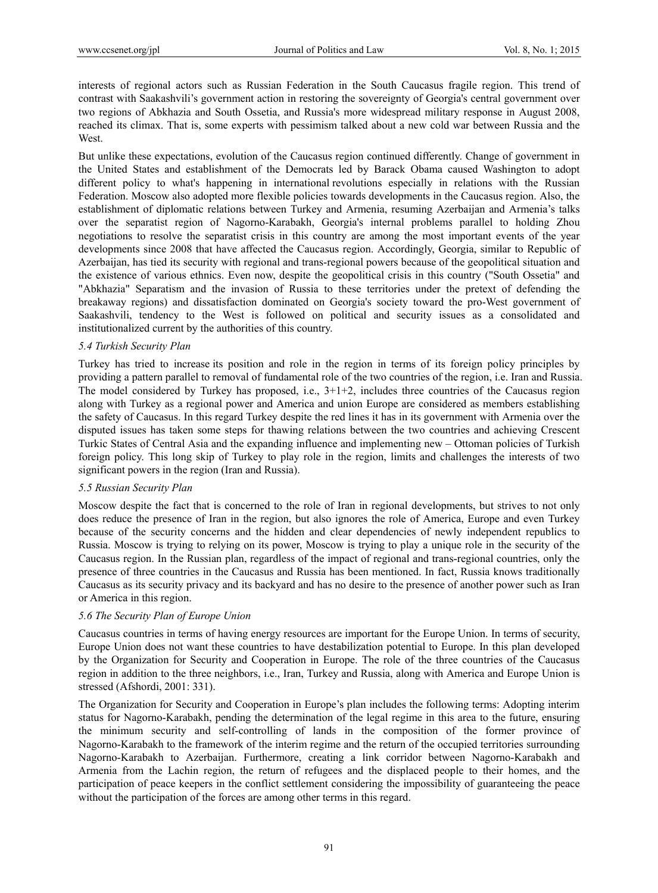interests of regional actors such as Russian Federation in the South Caucasus fragile region. This trend of contrast with Saakashvili's government action in restoring the sovereignty of Georgia's central government over two regions of Abkhazia and South Ossetia, and Russia's more widespread military response in August 2008, reached its climax. That is, some experts with pessimism talked about a new cold war between Russia and the West.

But unlike these expectations, evolution of the Caucasus region continued differently. Change of government in the United States and establishment of the Democrats led by Barack Obama caused Washington to adopt different policy to what's happening in international revolutions especially in relations with the Russian Federation. Moscow also adopted more flexible policies towards developments in the Caucasus region. Also, the establishment of diplomatic relations between Turkey and Armenia, resuming Azerbaijan and Armenia's talks over the separatist region of Nagorno-Karabakh, Georgia's internal problems parallel to holding Zhou negotiations to resolve the separatist crisis in this country are among the most important events of the year developments since 2008 that have affected the Caucasus region. Accordingly, Georgia, similar to Republic of Azerbaijan, has tied its security with regional and trans-regional powers because of the geopolitical situation and the existence of various ethnics. Even now, despite the geopolitical crisis in this country ("South Ossetia" and "Abkhazia" Separatism and the invasion of Russia to these territories under the pretext of defending the breakaway regions) and dissatisfaction dominated on Georgia's society toward the pro-West government of Saakashvili, tendency to the West is followed on political and security issues as a consolidated and institutionalized current by the authorities of this country.

## *5.4 Turkish Security Plan*

Turkey has tried to increase its position and role in the region in terms of its foreign policy principles by providing a pattern parallel to removal of fundamental role of the two countries of the region, i.e. Iran and Russia. The model considered by Turkey has proposed, i.e.,  $3+1+2$ , includes three countries of the Caucasus region along with Turkey as a regional power and America and union Europe are considered as members establishing the safety of Caucasus. In this regard Turkey despite the red lines it has in its government with Armenia over the disputed issues has taken some steps for thawing relations between the two countries and achieving Crescent Turkic States of Central Asia and the expanding influence and implementing new – Ottoman policies of Turkish foreign policy. This long skip of Turkey to play role in the region, limits and challenges the interests of two significant powers in the region (Iran and Russia).

# *5.5 Russian Security Plan*

Moscow despite the fact that is concerned to the role of Iran in regional developments, but strives to not only does reduce the presence of Iran in the region, but also ignores the role of America, Europe and even Turkey because of the security concerns and the hidden and clear dependencies of newly independent republics to Russia. Moscow is trying to relying on its power, Moscow is trying to play a unique role in the security of the Caucasus region. In the Russian plan, regardless of the impact of regional and trans-regional countries, only the presence of three countries in the Caucasus and Russia has been mentioned. In fact, Russia knows traditionally Caucasus as its security privacy and its backyard and has no desire to the presence of another power such as Iran or America in this region.

#### *5.6 The Security Plan of Europe Union*

Caucasus countries in terms of having energy resources are important for the Europe Union. In terms of security, Europe Union does not want these countries to have destabilization potential to Europe. In this plan developed by the Organization for Security and Cooperation in Europe. The role of the three countries of the Caucasus region in addition to the three neighbors, i.e., Iran, Turkey and Russia, along with America and Europe Union is stressed (Afshordi, 2001: 331).

The Organization for Security and Cooperation in Europe's plan includes the following terms: Adopting interim status for Nagorno-Karabakh, pending the determination of the legal regime in this area to the future, ensuring the minimum security and self-controlling of lands in the composition of the former province of Nagorno-Karabakh to the framework of the interim regime and the return of the occupied territories surrounding Nagorno-Karabakh to Azerbaijan. Furthermore, creating a link corridor between Nagorno-Karabakh and Armenia from the Lachin region, the return of refugees and the displaced people to their homes, and the participation of peace keepers in the conflict settlement considering the impossibility of guaranteeing the peace without the participation of the forces are among other terms in this regard.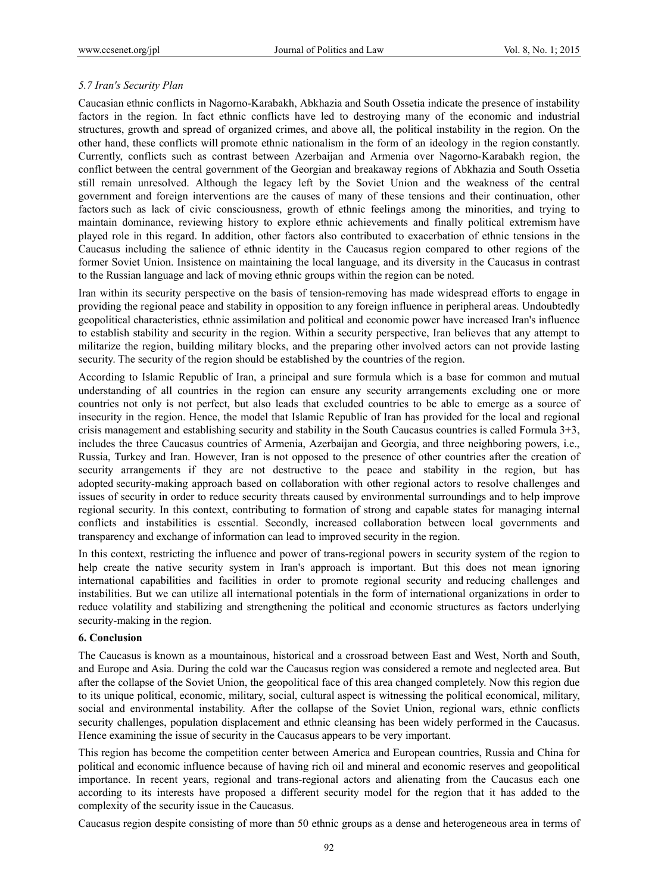#### *5.7 Iran's Security Plan*

Caucasian ethnic conflicts in Nagorno-Karabakh, Abkhazia and South Ossetia indicate the presence of instability factors in the region. In fact ethnic conflicts have led to destroying many of the economic and industrial structures, growth and spread of organized crimes, and above all, the political instability in the region. On the other hand, these conflicts will promote ethnic nationalism in the form of an ideology in the region constantly. Currently, conflicts such as contrast between Azerbaijan and Armenia over Nagorno-Karabakh region, the conflict between the central government of the Georgian and breakaway regions of Abkhazia and South Ossetia still remain unresolved. Although the legacy left by the Soviet Union and the weakness of the central government and foreign interventions are the causes of many of these tensions and their continuation, other factors such as lack of civic consciousness, growth of ethnic feelings among the minorities, and trying to maintain dominance, reviewing history to explore ethnic achievements and finally political extremism have played role in this regard. In addition, other factors also contributed to exacerbation of ethnic tensions in the Caucasus including the salience of ethnic identity in the Caucasus region compared to other regions of the former Soviet Union. Insistence on maintaining the local language, and its diversity in the Caucasus in contrast to the Russian language and lack of moving ethnic groups within the region can be noted.

Iran within its security perspective on the basis of tension-removing has made widespread efforts to engage in providing the regional peace and stability in opposition to any foreign influence in peripheral areas. Undoubtedly geopolitical characteristics, ethnic assimilation and political and economic power have increased Iran's influence to establish stability and security in the region. Within a security perspective, Iran believes that any attempt to militarize the region, building military blocks, and the preparing other involved actors can not provide lasting security. The security of the region should be established by the countries of the region.

According to Islamic Republic of Iran, a principal and sure formula which is a base for common and mutual understanding of all countries in the region can ensure any security arrangements excluding one or more countries not only is not perfect, but also leads that excluded countries to be able to emerge as a source of insecurity in the region. Hence, the model that Islamic Republic of Iran has provided for the local and regional crisis management and establishing security and stability in the South Caucasus countries is called Formula 3+3, includes the three Caucasus countries of Armenia, Azerbaijan and Georgia, and three neighboring powers, i.e., Russia, Turkey and Iran. However, Iran is not opposed to the presence of other countries after the creation of security arrangements if they are not destructive to the peace and stability in the region, but has adopted security-making approach based on collaboration with other regional actors to resolve challenges and issues of security in order to reduce security threats caused by environmental surroundings and to help improve regional security. In this context, contributing to formation of strong and capable states for managing internal conflicts and instabilities is essential. Secondly, increased collaboration between local governments and transparency and exchange of information can lead to improved security in the region.

In this context, restricting the influence and power of trans-regional powers in security system of the region to help create the native security system in Iran's approach is important. But this does not mean ignoring international capabilities and facilities in order to promote regional security and reducing challenges and instabilities. But we can utilize all international potentials in the form of international organizations in order to reduce volatility and stabilizing and strengthening the political and economic structures as factors underlying security-making in the region.

## **6. Conclusion**

The Caucasus is known as a mountainous, historical and a crossroad between East and West, North and South, and Europe and Asia. During the cold war the Caucasus region was considered a remote and neglected area. But after the collapse of the Soviet Union, the geopolitical face of this area changed completely. Now this region due to its unique political, economic, military, social, cultural aspect is witnessing the political economical, military, social and environmental instability. After the collapse of the Soviet Union, regional wars, ethnic conflicts security challenges, population displacement and ethnic cleansing has been widely performed in the Caucasus. Hence examining the issue of security in the Caucasus appears to be very important.

This region has become the competition center between America and European countries, Russia and China for political and economic influence because of having rich oil and mineral and economic reserves and geopolitical importance. In recent years, regional and trans-regional actors and alienating from the Caucasus each one according to its interests have proposed a different security model for the region that it has added to the complexity of the security issue in the Caucasus.

Caucasus region despite consisting of more than 50 ethnic groups as a dense and heterogeneous area in terms of